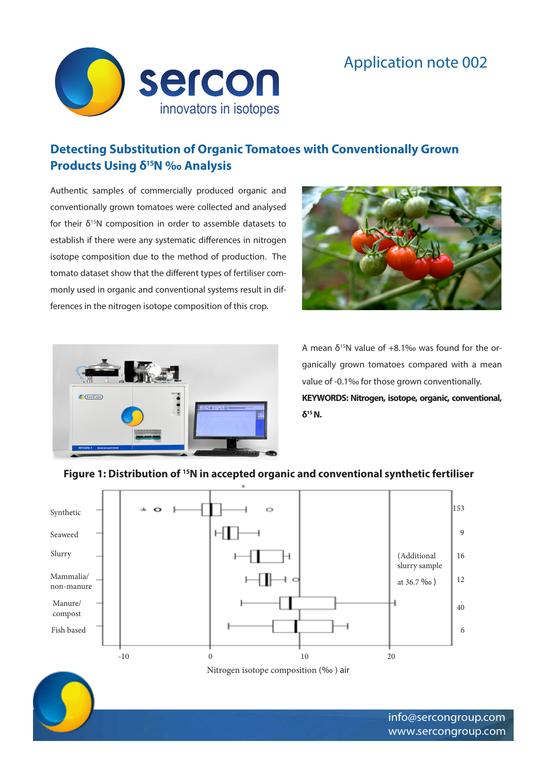



# **Detecting Substitution of Organic Tomatoes with Conventionally Grown Products Using δ15N ‰ Analysis**

Authentic samples of commercially produced organic and conventionally grown tomatoes were collected and analysed for their  $\delta^{15}N$  composition in order to assemble datasets to establish if there were any systematic differences in nitrogen isotope composition due to the method of production. The tomato dataset show that the different types of fertiliser commonly used in organic and conventional systems result in differences in the nitrogen isotope composition of this crop.





A mean  $\delta^{15}N$  value of +8.1‰ was found for the organically grown tomatoes compared with a mean value of -0.1‰ for those grown conventionally. **KEYWORDS: Nitrogen, isotope, organic, conventional, δ15 N.**

# **Figure 1: Distribution of 15N in accepted organic and conventional synthetic fertiliser**

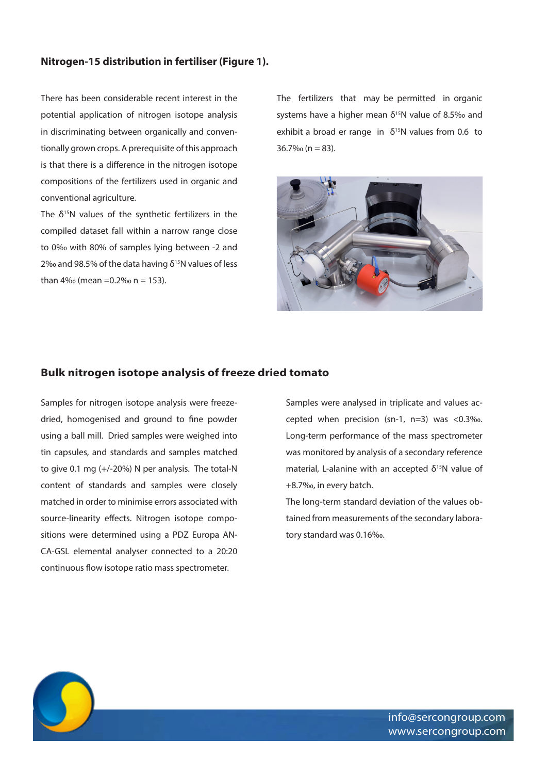# **Nitrogen-15 distribution in fertiliser (Figure 1).**

There has been considerable recent interest in the potential application of nitrogen isotope analysis in discriminating between organically and conventionally grown crops. A prerequisite of this approach is that there is a difference in the nitrogen isotope compositions of the fertilizers used in organic and conventional agriculture.

The  $\delta^{15}$ N values of the synthetic fertilizers in the compiled dataset fall within a narrow range close to 0‰ with 80% of samples lying between -2 and 2‰ and 98.5% of the data having  $δ<sup>15</sup>N$  values of less than  $4\%$  (mean = 0.2% n = 153).

The fertilizers that may be permitted in organic systems have a higher mean  $\delta^{15}N$  value of 8.5‰ and exhibit a broad er range in  $\delta^{15}$ N values from 0.6 to  $36.7\%$  (n = 83).



### **Bulk nitrogen isotope analysis of freeze dried tomato**

Samples for nitrogen isotope analysis were freezedried, homogenised and ground to fine powder using a ball mill. Dried samples were weighed into tin capsules, and standards and samples matched to give 0.1 mg (+/-20%) N per analysis. The total-N content of standards and samples were closely matched in order to minimise errors associated with source-linearity effects. Nitrogen isotope compositions were determined using a PDZ Europa AN-CA-GSL elemental analyser connected to a 20:20 continuous flow isotope ratio mass spectrometer.

Samples were analysed in triplicate and values accepted when precision (sn-1, n=3) was <0.3‰. Long-term performance of the mass spectrometer was monitored by analysis of a secondary reference material, L-alanine with an accepted  $\delta^{15}N$  value of +8.7‰, in every batch.

The long-term standard deviation of the values obtained from measurements of the secondary laboratory standard was 0.16‰.